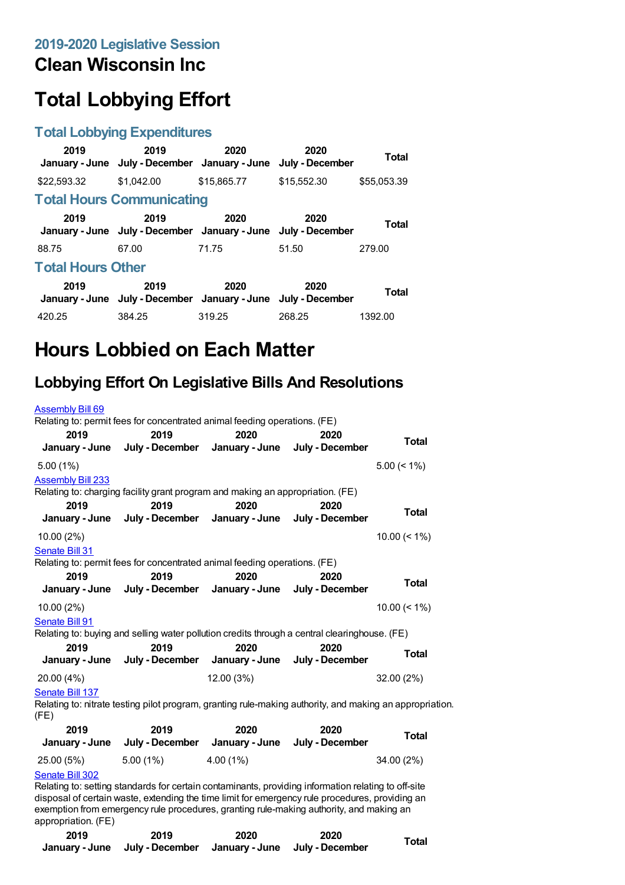## **Clean Wisconsin Inc**

# **Total Lobbying Effort**

#### **Total Lobbying Expenditures**

| 2019                     | 2019<br>January - June July - December January - June                 | 2020        | 2020<br>July - December | Total        |
|--------------------------|-----------------------------------------------------------------------|-------------|-------------------------|--------------|
| \$22,593.32              | \$1.042.00                                                            | \$15,865.77 | \$15,552,30             | \$55,053.39  |
|                          | <b>Total Hours Communicating</b>                                      |             |                         |              |
| 2019                     | 2019<br>January - June July - December January - June July - December | 2020        | 2020                    | Total        |
| 88.75                    | 67.00                                                                 | 71.75       | 51.50                   | 279.00       |
| <b>Total Hours Other</b> |                                                                       |             |                         |              |
| 2019                     | 2019<br>January - June July - December January - June July - December | 2020        | 2020                    | <b>Total</b> |
| 420.25                   | 384.25                                                                | 319.25      | 268.25                  | 1392.00      |

## **Hours Lobbied on Each Matter**

### **Lobbying Effort On Legislative Bills And Resolutions**

| <b>Assembly Bill 69</b>  |                                                                                                          |            |      |                 |
|--------------------------|----------------------------------------------------------------------------------------------------------|------------|------|-----------------|
|                          | Relating to: permit fees for concentrated animal feeding operations. (FE)                                |            |      |                 |
| 2019                     | 2019<br>January - June July - December January - June July - December                                    | 2020       | 2020 | Total           |
| $5.00(1\%)$              |                                                                                                          |            |      | $5.00 \le 1\%$  |
| <b>Assembly Bill 233</b> | Relating to: charging facility grant program and making an appropriation. (FE)                           |            |      |                 |
| 2019                     | 2019<br>January - June July - December January - June July - December                                    | 2020       | 2020 | Total           |
| $10.00(2\%)$             |                                                                                                          |            |      | $10.00 \le 1\%$ |
| Senate Bill 31           | Relating to: permit fees for concentrated animal feeding operations. (FE)                                |            |      |                 |
| 2019                     | 2019                                                                                                     | 2020       | 2020 |                 |
|                          | January - June July - December January - June July - December                                            |            |      | Total           |
| 10.00 (2%)               |                                                                                                          |            |      | $10.00 \le 1\%$ |
| Senate Bill 91           |                                                                                                          |            |      |                 |
|                          | Relating to: buying and selling water pollution credits through a central clearinghouse. (FE)            |            |      |                 |
| 2019                     | 2019<br>January - June July - December January - June July - December                                    | 2020       | 2020 | Total           |
| 20.00 (4%)               |                                                                                                          | 12.00 (3%) |      | 32.00(2%)       |
| Senate Bill 137<br>(FE)  | Relating to: nitrate testing pilot program, granting rule-making authority, and making an appropriation. |            |      |                 |

| 2019<br>January - June | 2019<br>July - December | 2020<br>January - June | 2020<br>July - December | Total      |
|------------------------|-------------------------|------------------------|-------------------------|------------|
| 25.00 (5%)             | $5.00(1\%)$             | $4.00(1\%)$            |                         | 34.00 (2%) |
| Senate Bill 302        |                         |                        |                         |            |

Relating to: setting standards for certain contaminants, providing information relating to off-site disposal of certain waste, extending the time limit for emergency rule procedures, providing an exemption from emergency rule procedures, granting rule-making authority, and making an appropriation. (FE)

| 2019 | 2019                                                          | 2020 | 2020 | Total |
|------|---------------------------------------------------------------|------|------|-------|
|      | January - June July - December January - June July - December |      |      |       |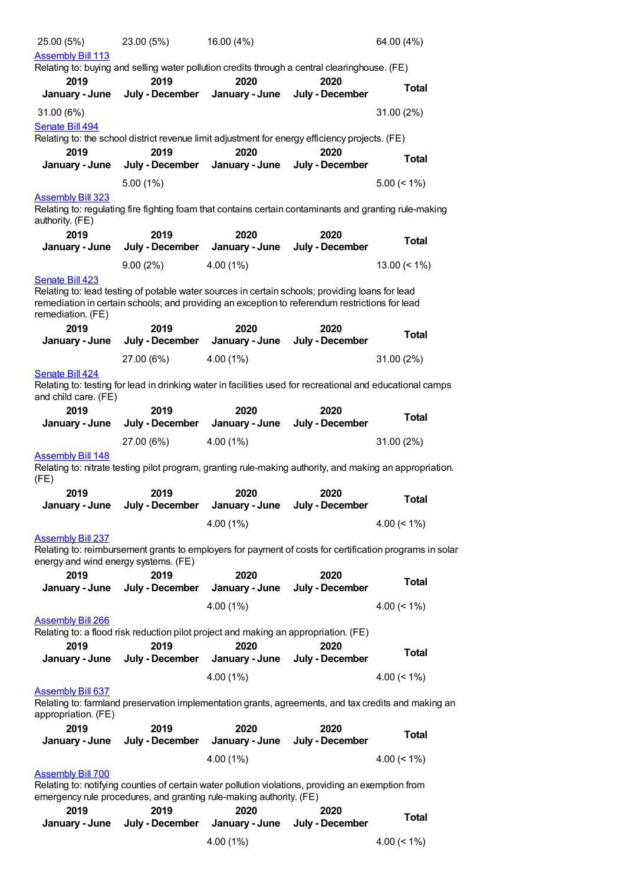| 25.00 (5%)                                                       | 23.00 (5%)  |                         | 16.00 (4%)                                                                          |                                                                                                                                                                                                           | 64.00 (4%)                                                                                              |
|------------------------------------------------------------------|-------------|-------------------------|-------------------------------------------------------------------------------------|-----------------------------------------------------------------------------------------------------------------------------------------------------------------------------------------------------------|---------------------------------------------------------------------------------------------------------|
| <b>Assembly Bill 113</b>                                         |             |                         |                                                                                     |                                                                                                                                                                                                           |                                                                                                         |
|                                                                  |             |                         |                                                                                     | Relating to: buying and selling water pollution credits through a central clearinghouse. (FE)                                                                                                             |                                                                                                         |
| 2019                                                             |             | 2019                    | 2020                                                                                | 2020                                                                                                                                                                                                      | <b>Total</b>                                                                                            |
| January - June                                                   |             | July - December         | January - June                                                                      | July - December                                                                                                                                                                                           |                                                                                                         |
| 31.00 (6%)                                                       |             |                         |                                                                                     |                                                                                                                                                                                                           | 31.00 (2%)                                                                                              |
| Senate Bill 494                                                  |             |                         |                                                                                     |                                                                                                                                                                                                           |                                                                                                         |
|                                                                  |             |                         |                                                                                     | Relating to: the school district revenue limit adjustment for energy efficiency projects. (FE)                                                                                                            |                                                                                                         |
| 2019<br>January - June                                           |             | 2019<br>July - December | 2020<br>January - June                                                              | 2020<br>July - December                                                                                                                                                                                   | <b>Total</b>                                                                                            |
|                                                                  |             |                         |                                                                                     |                                                                                                                                                                                                           |                                                                                                         |
|                                                                  | $5.00(1\%)$ |                         |                                                                                     |                                                                                                                                                                                                           | $5.00 \le 1\%$                                                                                          |
| <b>Assembly Bill 323</b><br>authority. (FE)                      |             |                         |                                                                                     | Relating to: regulating fire fighting foam that contains certain contaminants and granting rule-making                                                                                                    |                                                                                                         |
| 2019                                                             |             | 2019                    | 2020                                                                                | 2020                                                                                                                                                                                                      |                                                                                                         |
| January - June                                                   |             | July - December         | January - June                                                                      | July - December                                                                                                                                                                                           | <b>Total</b>                                                                                            |
|                                                                  | 9.00(2%)    |                         | 4.00(1%)                                                                            |                                                                                                                                                                                                           | 13.00 $($ < 1% $)$                                                                                      |
| Senate Bill 423                                                  |             |                         |                                                                                     |                                                                                                                                                                                                           |                                                                                                         |
| remediation. (FE)<br>2019                                        |             | 2019                    | 2020                                                                                | Relating to: lead testing of potable water sources in certain schools; providing loans for lead<br>remediation in certain schools; and providing an exception to referendum restrictions for lead<br>2020 |                                                                                                         |
| January - June                                                   |             | July - December         | January - June                                                                      | July - December                                                                                                                                                                                           | <b>Total</b>                                                                                            |
|                                                                  | 27.00 (6%)  |                         | 4.00(1%)                                                                            |                                                                                                                                                                                                           | 31.00 (2%)                                                                                              |
| Senate Bill 424                                                  |             |                         |                                                                                     |                                                                                                                                                                                                           |                                                                                                         |
| and child care. (FE)                                             |             |                         |                                                                                     | Relating to: testing for lead in drinking water in facilities used for recreational and educational camps                                                                                                 |                                                                                                         |
| 2019                                                             |             | 2019                    | 2020                                                                                | 2020                                                                                                                                                                                                      | <b>Total</b>                                                                                            |
| January - June                                                   |             | July - December         | January - June                                                                      | July - December                                                                                                                                                                                           |                                                                                                         |
|                                                                  | 27.00 (6%)  |                         | 4.00(1%)                                                                            |                                                                                                                                                                                                           | 31.00 (2%)                                                                                              |
| <b>Assembly Bill 148</b><br>(FE)                                 |             |                         |                                                                                     | Relating to: nitrate testing pilot program, granting rule-making authority, and making an appropriation.                                                                                                  |                                                                                                         |
| 2019                                                             |             | 2019                    | 2020                                                                                | 2020                                                                                                                                                                                                      | <b>Total</b>                                                                                            |
|                                                                  |             |                         | January - June July - December January - June July - December                       |                                                                                                                                                                                                           |                                                                                                         |
|                                                                  |             |                         | 4.00(1%)                                                                            |                                                                                                                                                                                                           | $4.00 \le 1\%$                                                                                          |
| <b>Assembly Bill 237</b><br>energy and wind energy systems. (FE) |             |                         |                                                                                     |                                                                                                                                                                                                           | Relating to: reimbursement grants to employers for payment of costs for certification programs in solar |
| 2019                                                             |             | 2019                    | 2020                                                                                | 2020                                                                                                                                                                                                      | <b>Total</b>                                                                                            |
| January - June                                                   |             | July - December         | January - June                                                                      | July - December                                                                                                                                                                                           |                                                                                                         |
|                                                                  |             |                         | $4.00(1\%)$                                                                         |                                                                                                                                                                                                           | 4.00 $($ < 1%)                                                                                          |
| <b>Assembly Bill 266</b>                                         |             |                         |                                                                                     |                                                                                                                                                                                                           |                                                                                                         |
|                                                                  |             |                         | Relating to: a flood risk reduction pilot project and making an appropriation. (FE) |                                                                                                                                                                                                           |                                                                                                         |
| 2019                                                             |             | 2019                    | 2020                                                                                | 2020                                                                                                                                                                                                      | <b>Total</b>                                                                                            |
| January - June                                                   |             | July - December         | January - June                                                                      | July - December                                                                                                                                                                                           |                                                                                                         |
|                                                                  |             |                         | 4.00(1%)                                                                            |                                                                                                                                                                                                           | 4.00 $($ < 1% $)$                                                                                       |
| <b>Assembly Bill 637</b><br>appropriation. (FE)                  |             |                         |                                                                                     | Relating to: farmland preservation implementation grants, agreements, and tax credits and making an                                                                                                       |                                                                                                         |
| 2019                                                             |             | 2019                    | 2020                                                                                | 2020                                                                                                                                                                                                      |                                                                                                         |
| January - June                                                   |             | July - December         | January - June                                                                      | July - December                                                                                                                                                                                           | <b>Total</b>                                                                                            |
|                                                                  |             |                         | $4.00(1\%)$                                                                         |                                                                                                                                                                                                           | 4.00 $($ < 1%)                                                                                          |
| <b>Assembly Bill 700</b>                                         |             |                         | emergency rule procedures, and granting rule-making authority. (FE)                 | Relating to: notifying counties of certain water pollution violations, providing an exemption from                                                                                                        |                                                                                                         |
| 2019                                                             |             | 2019                    | 2020                                                                                | 2020                                                                                                                                                                                                      |                                                                                                         |
| January - June                                                   |             |                         | July - December January - June                                                      | July - December                                                                                                                                                                                           | <b>Total</b>                                                                                            |
|                                                                  |             |                         | 4.00 (1%)                                                                           |                                                                                                                                                                                                           | 4.00 $($ < 1% $)$                                                                                       |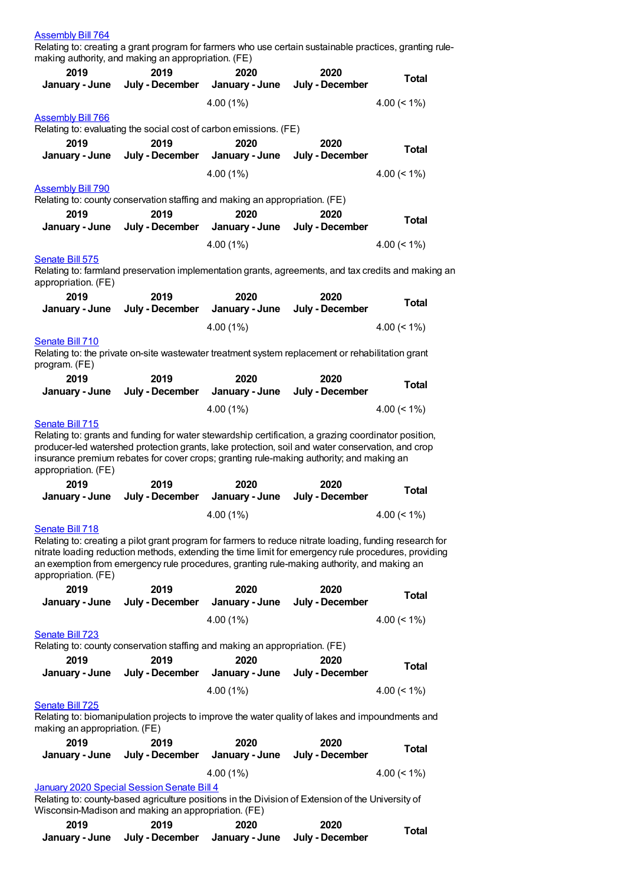| <b>Assembly Bill 764</b>                            |                 |                                                                                                                                                                                                          |                 |                   |
|-----------------------------------------------------|-----------------|----------------------------------------------------------------------------------------------------------------------------------------------------------------------------------------------------------|-----------------|-------------------|
|                                                     |                 | Relating to: creating a grant program for farmers who use certain sustainable practices, granting rule-                                                                                                  |                 |                   |
| making authority, and making an appropriation. (FE) |                 |                                                                                                                                                                                                          |                 |                   |
| 2019                                                | 2019            | 2020                                                                                                                                                                                                     | 2020            | <b>Total</b>      |
| January - June                                      | July - December | January - June                                                                                                                                                                                           | July - December |                   |
|                                                     |                 | 4.00(1%)                                                                                                                                                                                                 |                 | 4.00 $($ < 1%)    |
| <b>Assembly Bill 766</b>                            |                 |                                                                                                                                                                                                          |                 |                   |
|                                                     |                 | Relating to: evaluating the social cost of carbon emissions. (FE)                                                                                                                                        |                 |                   |
| 2019                                                | 2019            | 2020                                                                                                                                                                                                     | 2020            |                   |
| January - June                                      | July - December | January - June                                                                                                                                                                                           | July - December | <b>Total</b>      |
|                                                     |                 | 4.00 (1%)                                                                                                                                                                                                |                 |                   |
|                                                     |                 |                                                                                                                                                                                                          |                 | 4.00 $($ < 1% $)$ |
| <b>Assembly Bill 790</b>                            |                 |                                                                                                                                                                                                          |                 |                   |
|                                                     |                 | Relating to: county conservation staffing and making an appropriation. (FE)                                                                                                                              |                 |                   |
| 2019                                                | 2019            | 2020                                                                                                                                                                                                     | 2020            | <b>Total</b>      |
| January - June                                      | July - December | January - June                                                                                                                                                                                           | July - December |                   |
|                                                     |                 | 4.00 (1%)                                                                                                                                                                                                |                 | $4.00 (< 1\%)$    |
| Senate Bill 575                                     |                 |                                                                                                                                                                                                          |                 |                   |
|                                                     |                 | Relating to: farmland preservation implementation grants, agreements, and tax credits and making an                                                                                                      |                 |                   |
| appropriation. (FE)                                 |                 |                                                                                                                                                                                                          |                 |                   |
| 2019                                                | 2019            | 2020                                                                                                                                                                                                     | 2020            | <b>Total</b>      |
| January - June                                      | July - December | January - June                                                                                                                                                                                           | July - December |                   |
|                                                     |                 | 4.00 (1%)                                                                                                                                                                                                |                 | 4.00 $($ < 1% $)$ |
| <b>Senate Bill 710</b>                              |                 |                                                                                                                                                                                                          |                 |                   |
|                                                     |                 | Relating to: the private on-site wastewater treatment system replacement or rehabilitation grant                                                                                                         |                 |                   |
| program. (FE)                                       |                 |                                                                                                                                                                                                          |                 |                   |
| 2019                                                | 2019            | 2020                                                                                                                                                                                                     | 2020            |                   |
| January - June                                      | July - December | January - June                                                                                                                                                                                           | July - December | <b>Total</b>      |
|                                                     |                 |                                                                                                                                                                                                          |                 |                   |
|                                                     |                 | 4.00 (1%)                                                                                                                                                                                                |                 | 4.00 $(< 1\%)$    |
| Senate Bill 715                                     |                 |                                                                                                                                                                                                          |                 |                   |
|                                                     |                 | Relating to: grants and funding for water stewardship certification, a grazing coordinator position,<br>producer-led watershed protection grants, lake protection, soil and water conservation, and crop |                 |                   |
|                                                     |                 | insurance premium rebates for cover crops; granting rule-making authority; and making an                                                                                                                 |                 |                   |
| appropriation. (FE)                                 |                 |                                                                                                                                                                                                          |                 |                   |
| 2019                                                | 2019            | 2020                                                                                                                                                                                                     | 2020            |                   |
| January - June                                      | July - December | January - June                                                                                                                                                                                           | July - December | <b>Total</b>      |
|                                                     |                 |                                                                                                                                                                                                          |                 | $4.00 \le 1\%$    |
|                                                     |                 | 4.00(1%)                                                                                                                                                                                                 |                 |                   |
| Senate Bill 718                                     |                 | Relating to: creating a pilot grant program for farmers to reduce nitrate loading, funding research for                                                                                                  |                 |                   |
|                                                     |                 | nitrate loading reduction methods, extending the time limit for emergency rule procedures, providing                                                                                                     |                 |                   |
|                                                     |                 | an exemption from emergency rule procedures, granting rule-making authority, and making an                                                                                                               |                 |                   |
| appropriation. (FE)                                 |                 |                                                                                                                                                                                                          |                 |                   |
| 2019                                                | 2019            | 2020                                                                                                                                                                                                     | 2020            |                   |
| January - June                                      | July - December | January - June                                                                                                                                                                                           | July - December | <b>Total</b>      |
|                                                     |                 | 4.00 (1%)                                                                                                                                                                                                |                 |                   |
|                                                     |                 |                                                                                                                                                                                                          |                 | 4.00 $(< 1\%)$    |
| <b>Senate Bill 723</b>                              |                 |                                                                                                                                                                                                          |                 |                   |
|                                                     |                 | Relating to: county conservation staffing and making an appropriation. (FE)                                                                                                                              |                 |                   |
| 2019                                                | 2019            | 2020                                                                                                                                                                                                     | 2020            | <b>Total</b>      |
| January - June                                      |                 | July - December January - June                                                                                                                                                                           | July - December |                   |
|                                                     |                 | 4.00 (1%)                                                                                                                                                                                                |                 | 4.00 $($ < 1%)    |
| Senate Bill 725                                     |                 |                                                                                                                                                                                                          |                 |                   |
|                                                     |                 | Relating to: biomanipulation projects to improve the water quality of lakes and impoundments and                                                                                                         |                 |                   |
| making an appropriation. (FE)                       |                 |                                                                                                                                                                                                          |                 |                   |
| 2019                                                | 2019            | 2020                                                                                                                                                                                                     | 2020            | <b>Total</b>      |
| January - June                                      | July - December | January - June                                                                                                                                                                                           | July - December |                   |
|                                                     |                 | 4.00(1%)                                                                                                                                                                                                 |                 | 4.00 $($ < 1% $)$ |
| January 2020 Special Session Senate Bill 4          |                 |                                                                                                                                                                                                          |                 |                   |
|                                                     |                 | Relating to: county-based agriculture positions in the Division of Extension of the University of                                                                                                        |                 |                   |
| Wisconsin-Madison and making an appropriation. (FE) |                 |                                                                                                                                                                                                          |                 |                   |
| 2019                                                | 2019            | 2020                                                                                                                                                                                                     | 2020            |                   |
|                                                     |                 |                                                                                                                                                                                                          |                 | <b>Total</b>      |

**January - June**

**July - December**

**January - June**

**July - December**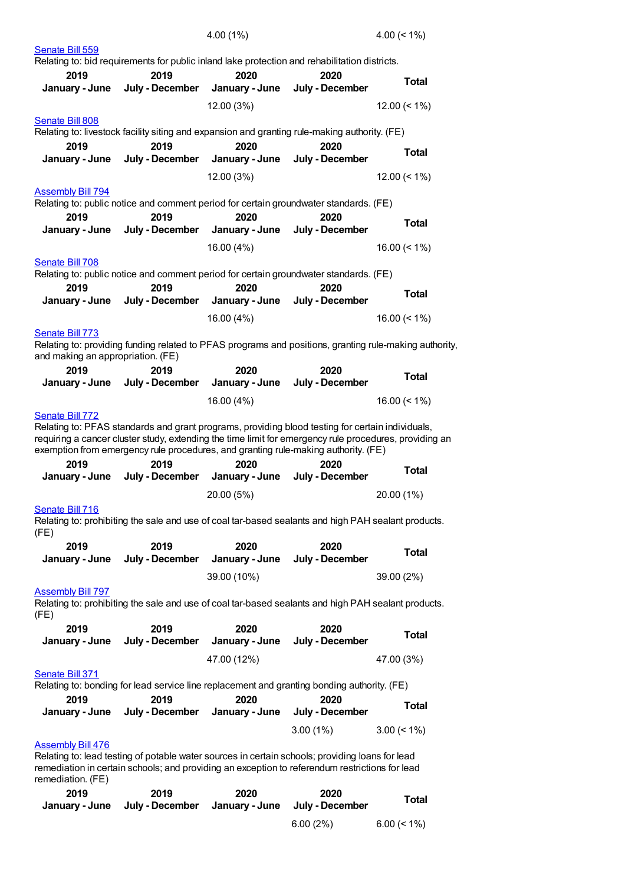|                                   |                                                                                                                                                                                                                                                                                                                             | 4.00 (1%)              |                         | 4.00 $($ < 1% $)$                                                                                      |
|-----------------------------------|-----------------------------------------------------------------------------------------------------------------------------------------------------------------------------------------------------------------------------------------------------------------------------------------------------------------------------|------------------------|-------------------------|--------------------------------------------------------------------------------------------------------|
| Senate Bill 559                   |                                                                                                                                                                                                                                                                                                                             |                        |                         |                                                                                                        |
|                                   | Relating to: bid requirements for public inland lake protection and rehabilitation districts.                                                                                                                                                                                                                               |                        |                         |                                                                                                        |
| 2019<br>January - June            | 2019<br>July - December                                                                                                                                                                                                                                                                                                     | 2020<br>January - June | 2020<br>July - December | <b>Total</b>                                                                                           |
|                                   |                                                                                                                                                                                                                                                                                                                             | 12.00 (3%)             |                         | $12.00 (< 1\%)$                                                                                        |
| Senate Bill 808                   |                                                                                                                                                                                                                                                                                                                             |                        |                         |                                                                                                        |
|                                   | Relating to: livestock facility siting and expansion and granting rule-making authority. (FE)                                                                                                                                                                                                                               |                        |                         |                                                                                                        |
| 2019<br>January - June            | 2019<br>July - December                                                                                                                                                                                                                                                                                                     | 2020<br>January - June | 2020<br>July - December | <b>Total</b>                                                                                           |
|                                   |                                                                                                                                                                                                                                                                                                                             |                        |                         |                                                                                                        |
|                                   |                                                                                                                                                                                                                                                                                                                             | 12.00 (3%)             |                         | 12.00 $($ < 1% $)$                                                                                     |
| <b>Assembly Bill 794</b>          | Relating to: public notice and comment period for certain groundwater standards. (FE)                                                                                                                                                                                                                                       |                        |                         |                                                                                                        |
| 2019                              | 2019                                                                                                                                                                                                                                                                                                                        | 2020                   | 2020                    |                                                                                                        |
| January - June                    | July - December                                                                                                                                                                                                                                                                                                             | January - June         | July - December         | Total                                                                                                  |
|                                   |                                                                                                                                                                                                                                                                                                                             | 16.00 (4%)             |                         | 16.00 $($ < 1%)                                                                                        |
| Senate Bill 708                   |                                                                                                                                                                                                                                                                                                                             |                        |                         |                                                                                                        |
|                                   | Relating to: public notice and comment period for certain groundwater standards. (FE)                                                                                                                                                                                                                                       |                        |                         |                                                                                                        |
| 2019                              | 2019                                                                                                                                                                                                                                                                                                                        | 2020                   | 2020                    | <b>Total</b>                                                                                           |
| January - June                    | July - December                                                                                                                                                                                                                                                                                                             | January - June         | July - December         |                                                                                                        |
|                                   |                                                                                                                                                                                                                                                                                                                             | 16.00 (4%)             |                         | 16.00 $($ < 1% $)$                                                                                     |
| Senate Bill 773                   |                                                                                                                                                                                                                                                                                                                             |                        |                         |                                                                                                        |
| and making an appropriation. (FE) |                                                                                                                                                                                                                                                                                                                             |                        |                         | Relating to: providing funding related to PFAS programs and positions, granting rule-making authority, |
| 2019                              | 2019                                                                                                                                                                                                                                                                                                                        | 2020                   | 2020                    | <b>Total</b>                                                                                           |
| January - June                    | July - December                                                                                                                                                                                                                                                                                                             | January - June         | July - December         |                                                                                                        |
| Senate Bill 772                   |                                                                                                                                                                                                                                                                                                                             | 16.00 (4%)             |                         | 16.00 $($ < 1%)                                                                                        |
| 2019<br>January - June            | Relating to: PFAS standards and grant programs, providing blood testing for certain individuals,<br>requiring a cancer cluster study, extending the time limit for emergency rule procedures, providing an<br>exemption from emergency rule procedures, and granting rule-making authority. (FE)<br>2019<br>July - December | 2020<br>January - June | 2020<br>July - December | <b>Total</b>                                                                                           |
|                                   |                                                                                                                                                                                                                                                                                                                             | 20.00 (5%)             |                         |                                                                                                        |
| Senate Bill 716                   |                                                                                                                                                                                                                                                                                                                             |                        |                         | 20.00 (1%)                                                                                             |
| (FE)                              | Relating to: prohibiting the sale and use of coal tar-based sealants and high PAH sealant products.                                                                                                                                                                                                                         |                        |                         |                                                                                                        |
| 2019<br>January - June            | 2019<br>July - December                                                                                                                                                                                                                                                                                                     | 2020<br>January - June | 2020<br>July - December | <b>Total</b>                                                                                           |
|                                   |                                                                                                                                                                                                                                                                                                                             | 39.00 (10%)            |                         | 39.00 (2%)                                                                                             |
| <b>Assembly Bill 797</b>          | Relating to: prohibiting the sale and use of coal tar-based sealants and high PAH sealant products.                                                                                                                                                                                                                         |                        |                         |                                                                                                        |
| (FE)<br>2019                      | 2019                                                                                                                                                                                                                                                                                                                        | 2020                   | 2020                    |                                                                                                        |
| January - June                    | July - December                                                                                                                                                                                                                                                                                                             | January - June         | July - December         | <b>Total</b>                                                                                           |
|                                   |                                                                                                                                                                                                                                                                                                                             | 47.00 (12%)            |                         | 47.00 (3%)                                                                                             |
| Senate Bill 371                   | Relating to: bonding for lead service line replacement and granting bonding authority. (FE)                                                                                                                                                                                                                                 |                        |                         |                                                                                                        |
| 2019                              | 2019                                                                                                                                                                                                                                                                                                                        | 2020                   | 2020                    |                                                                                                        |
| January - June                    | July - December                                                                                                                                                                                                                                                                                                             | January - June         | July - December         | <b>Total</b>                                                                                           |
|                                   |                                                                                                                                                                                                                                                                                                                             |                        | $3.00(1\%)$             | $3.00 \le 1\%$                                                                                         |
| <b>Assembly Bill 476</b>          |                                                                                                                                                                                                                                                                                                                             |                        |                         |                                                                                                        |
| remediation. (FE)                 | Relating to: lead testing of potable water sources in certain schools; providing loans for lead<br>remediation in certain schools; and providing an exception to referendum restrictions for lead                                                                                                                           |                        |                         |                                                                                                        |
| 2019                              | 2019                                                                                                                                                                                                                                                                                                                        | 2020                   | 2020                    |                                                                                                        |
| January - June                    | July - December                                                                                                                                                                                                                                                                                                             | January - June         | July - December         | <b>Total</b>                                                                                           |
|                                   |                                                                                                                                                                                                                                                                                                                             |                        | 6.00(2%)                | $6.00 \le 1\%$                                                                                         |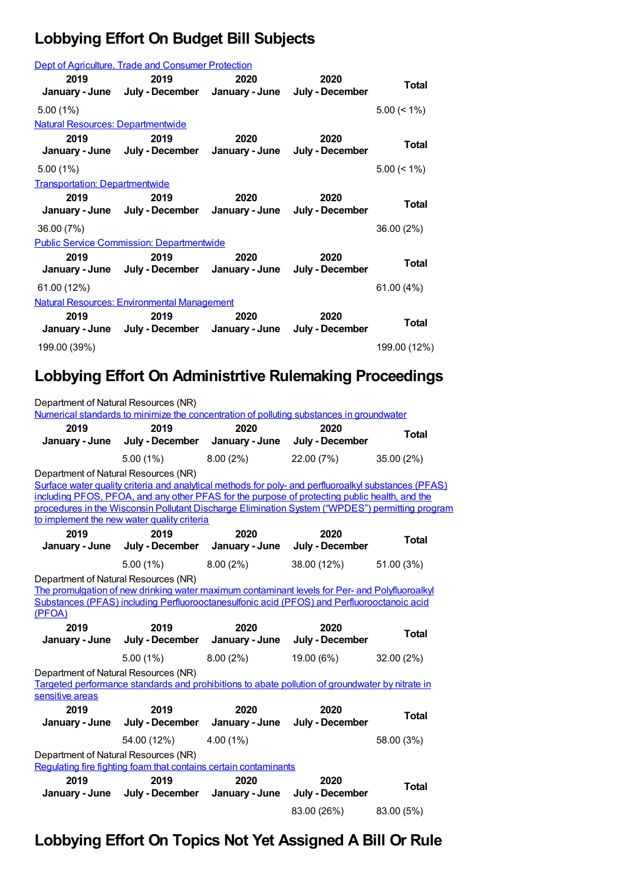## **Lobbying Effort On Budget Bill Subjects**

|                                          | Dept of Agriculture, Trade and Consumer Protection    |      |                         |                |
|------------------------------------------|-------------------------------------------------------|------|-------------------------|----------------|
| 2019                                     | 2019<br>January - June July - December January - June | 2020 | 2020<br>July - December | Total          |
| $5.00(1\%)$                              |                                                       |      |                         | $5.00 \le 1\%$ |
| <b>Natural Resources: Departmentwide</b> |                                                       |      |                         |                |
| 2019                                     | 2019<br>January - June July - December January - June | 2020 | 2020<br>July - December | Total          |
| $5.00(1\%)$                              |                                                       |      |                         | $5.00 \le 1\%$ |
| <b>Transportation: Departmentwide</b>    |                                                       |      |                         |                |
| 2019                                     | 2019<br>January - June July - December January - June | 2020 | 2020<br>July - December | Total          |
| 36.00 (7%)                               |                                                       |      |                         | 36.00 (2%)     |
|                                          | <b>Public Service Commission: Departmentwide</b>      |      |                         |                |
| 2019                                     | 2019<br>January - June July - December January - June | 2020 | 2020<br>July - December | Total          |
| 61.00 (12%)                              |                                                       |      |                         | 61.00(4%)      |
|                                          | <b>Natural Resources: Environmental Management</b>    |      |                         |                |
| 2019                                     | 2019<br>January - June July - December January - June | 2020 | 2020<br>July - December | Total          |
| 199.00 (39%)                             |                                                       |      |                         | 199.00 (12%)   |

## **Lobbying Effort On Administrtive Rulemaking Proceedings**

| Department of Natural Resources (NR)           | Numerical standards to minimize the concentration of polluting substances in groundwater                                                                                                                                                                                                                 |                        |                         |              |
|------------------------------------------------|----------------------------------------------------------------------------------------------------------------------------------------------------------------------------------------------------------------------------------------------------------------------------------------------------------|------------------------|-------------------------|--------------|
| 2019<br>January - June                         | 2019<br>July - December                                                                                                                                                                                                                                                                                  | 2020<br>January - June | 2020<br>July - December | <b>Total</b> |
|                                                | 5.00(1%)                                                                                                                                                                                                                                                                                                 | 8.00(2%)               | 22.00 (7%)              | 35.00 (2%)   |
| Department of Natural Resources (NR)           | Surface water quality criteria and analytical methods for poly- and perfluoroalkyl substances (PFAS)<br>including PFOS, PFOA, and any other PFAS for the purpose of protecting public health, and the<br>procedures in the Wisconsin Pollutant Discharge Elimination System ("WPDES") permitting program |                        |                         |              |
| 2019                                           | to implement the new water quality criteria<br>2019                                                                                                                                                                                                                                                      | 2020                   | 2020                    |              |
| January - June                                 | July - December January - June                                                                                                                                                                                                                                                                           |                        | July - December         | <b>Total</b> |
|                                                | $5.00(1\%)$                                                                                                                                                                                                                                                                                              | 8.00(2%)               | 38.00 (12%)             | 51.00 (3%)   |
| Department of Natural Resources (NR)<br>(PFOA) | The promulgation of new drinking water maximum contaminant levels for Per- and Polyfluoroalkyl<br>Substances (PFAS) including Perfluorooctanesulfonic acid (PFOS) and Perfluorooctanoic acid                                                                                                             |                        |                         |              |
| 2019                                           | 2019                                                                                                                                                                                                                                                                                                     | 2020                   | 2020                    | <b>Total</b> |
| January - June                                 | July - December                                                                                                                                                                                                                                                                                          | January - June         | July - December         |              |
|                                                | $5.00(1\%)$                                                                                                                                                                                                                                                                                              | 8.00(2%)               | 19.00 (6%)              | 32.00 (2%)   |
| Department of Natural Resources (NR)           | Targeted performance standards and prohibitions to abate pollution of groundwater by nitrate in                                                                                                                                                                                                          |                        |                         |              |
| sensitive areas                                |                                                                                                                                                                                                                                                                                                          |                        |                         |              |
| 2019<br>January - June                         | 2019<br>July - December                                                                                                                                                                                                                                                                                  | 2020<br>January - June | 2020<br>July - December | <b>Total</b> |
|                                                | 54.00 (12%)                                                                                                                                                                                                                                                                                              | 4.00(1%)               |                         | 58.00 (3%)   |
| Department of Natural Resources (NR)           | Regulating fire fighting foam that contains certain contaminants                                                                                                                                                                                                                                         |                        |                         |              |
| 2019<br>January - June                         | 2019<br>July - December                                                                                                                                                                                                                                                                                  | 2020<br>January - June | 2020<br>July - December | <b>Total</b> |
|                                                |                                                                                                                                                                                                                                                                                                          |                        | 83.00 (26%)             | 83.00 (5%)   |

## **Lobbying Effort On Topics Not Yet Assigned A Bill Or Rule**